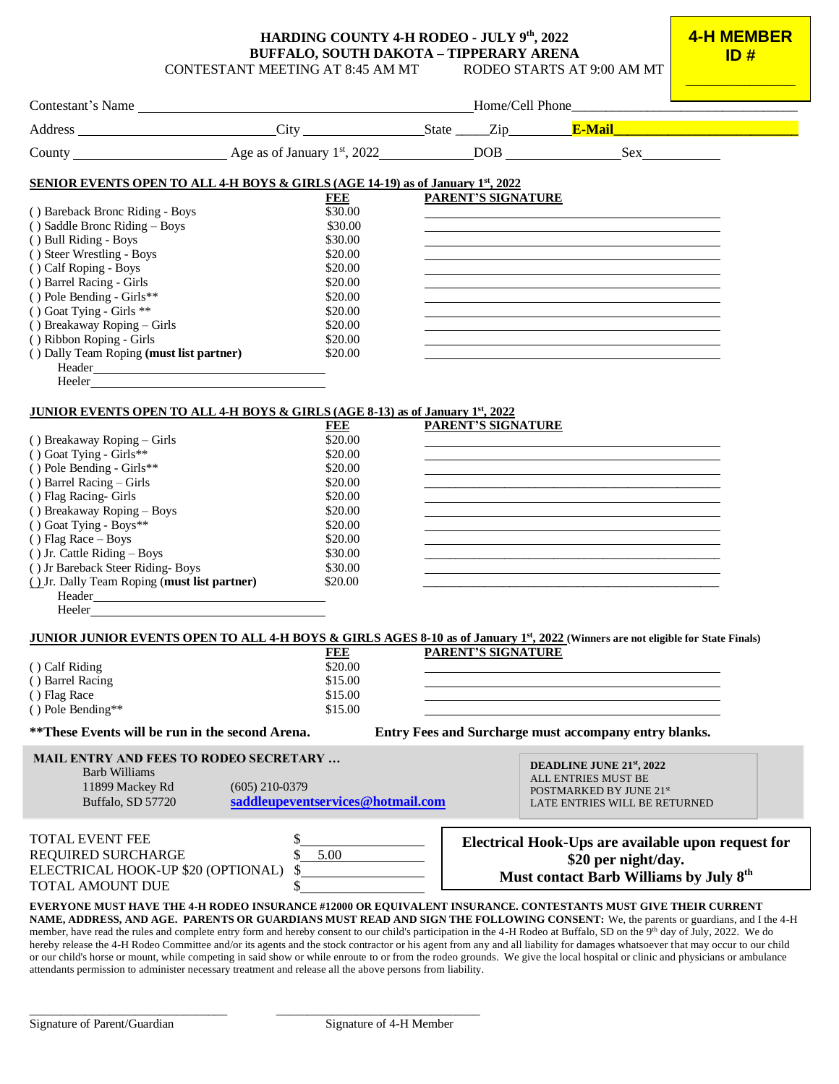#### **HARDING COUNTY 4-H RODEO - JULY 9 th , 2022 BUFFALO, SOUTH DAKOTA – TIPPERARY ARENA** CONTESTANT MEETING AT 8:45 AM MT RODEO STARTS AT 9:00 AM MT

**4-H MEMBER ID #** 

|                                                                                                                                                                         |                                   |  |                    | <u> 1990 - Johann Barbara, martin a</u>                                                                                                                                                                                       |  |
|-------------------------------------------------------------------------------------------------------------------------------------------------------------------------|-----------------------------------|--|--------------------|-------------------------------------------------------------------------------------------------------------------------------------------------------------------------------------------------------------------------------|--|
|                                                                                                                                                                         |                                   |  |                    |                                                                                                                                                                                                                               |  |
|                                                                                                                                                                         |                                   |  |                    |                                                                                                                                                                                                                               |  |
| <b>SENIOR EVENTS OPEN TO ALL 4-H BOYS &amp; GIRLS (AGE 14-19) as of January 1st, 2022</b>                                                                               |                                   |  |                    |                                                                                                                                                                                                                               |  |
|                                                                                                                                                                         | FEE                               |  | PARENT'S SIGNATURE |                                                                                                                                                                                                                               |  |
| () Bareback Bronc Riding - Boys                                                                                                                                         | \$30.00                           |  |                    |                                                                                                                                                                                                                               |  |
| () Saddle Bronc Riding - Boys                                                                                                                                           | \$30.00                           |  |                    | the control of the control of the control of the control of the control of the control of the control of the control of the control of the control of the control of the control of the control of the control of the control |  |
| () Bull Riding - Boys                                                                                                                                                   | \$30.00                           |  |                    |                                                                                                                                                                                                                               |  |
| () Steer Wrestling - Boys                                                                                                                                               | \$20.00                           |  |                    |                                                                                                                                                                                                                               |  |
| () Calf Roping - Boys                                                                                                                                                   | \$20.00                           |  |                    |                                                                                                                                                                                                                               |  |
| () Barrel Racing - Girls                                                                                                                                                | \$20.00                           |  |                    |                                                                                                                                                                                                                               |  |
| () Pole Bending - Girls**                                                                                                                                               | \$20.00                           |  |                    |                                                                                                                                                                                                                               |  |
| () Goat Tying - Girls **                                                                                                                                                | \$20.00                           |  |                    |                                                                                                                                                                                                                               |  |
| () Breakaway Roping - Girls                                                                                                                                             | \$20.00                           |  |                    |                                                                                                                                                                                                                               |  |
| () Ribbon Roping - Girls                                                                                                                                                | \$20.00                           |  |                    |                                                                                                                                                                                                                               |  |
| () Dally Team Roping (must list partner)                                                                                                                                | \$20.00                           |  |                    |                                                                                                                                                                                                                               |  |
|                                                                                                                                                                         |                                   |  |                    |                                                                                                                                                                                                                               |  |
|                                                                                                                                                                         |                                   |  |                    |                                                                                                                                                                                                                               |  |
|                                                                                                                                                                         |                                   |  |                    |                                                                                                                                                                                                                               |  |
| <b>JUNIOR EVENTS OPEN TO ALL 4-H BOYS &amp; GIRLS (AGE 8-13) as of January 1st, 2022</b>                                                                                |                                   |  |                    |                                                                                                                                                                                                                               |  |
|                                                                                                                                                                         | FEE                               |  | PARENT'S SIGNATURE |                                                                                                                                                                                                                               |  |
| () Breakaway Roping - Girls                                                                                                                                             | \$20.00                           |  |                    |                                                                                                                                                                                                                               |  |
| () Goat Tying - Girls**                                                                                                                                                 | \$20.00                           |  |                    |                                                                                                                                                                                                                               |  |
| () Pole Bending - Girls**                                                                                                                                               | \$20.00                           |  |                    |                                                                                                                                                                                                                               |  |
| $()$ Barrel Racing – Girls                                                                                                                                              | \$20.00                           |  |                    |                                                                                                                                                                                                                               |  |
| () Flag Racing- Girls                                                                                                                                                   | \$20.00                           |  |                    |                                                                                                                                                                                                                               |  |
| () Breakaway Roping - Boys                                                                                                                                              | \$20.00                           |  |                    |                                                                                                                                                                                                                               |  |
| () Goat Tying - Boys**                                                                                                                                                  | \$20.00                           |  |                    |                                                                                                                                                                                                                               |  |
| () Flag Race $-$ Boys                                                                                                                                                   | \$20.00                           |  |                    |                                                                                                                                                                                                                               |  |
| () Jr. Cattle Riding - Boys                                                                                                                                             | \$30.00                           |  |                    |                                                                                                                                                                                                                               |  |
| () Jr Bareback Steer Riding-Boys                                                                                                                                        | \$30.00                           |  |                    |                                                                                                                                                                                                                               |  |
| () Jr. Dally Team Roping (must list partner)                                                                                                                            | \$20.00                           |  |                    |                                                                                                                                                                                                                               |  |
| $\begin{tabular}{c} Header \\ \hline \end{tabular}$                                                                                                                     |                                   |  |                    |                                                                                                                                                                                                                               |  |
| Heeler <b>Exercise Exercise Exercise Services</b>                                                                                                                       |                                   |  |                    |                                                                                                                                                                                                                               |  |
|                                                                                                                                                                         |                                   |  |                    |                                                                                                                                                                                                                               |  |
| JUNIOR JUNIOR EVENTS OPEN TO ALL 4-H BOYS & GIRLS AGES 8-10 as of January 1 <sup>st</sup> , 2022 (Winners are not eligible for State Finals)                            |                                   |  |                    |                                                                                                                                                                                                                               |  |
|                                                                                                                                                                         | <b>FEE</b>                        |  | PARENT'S SIGNATURE |                                                                                                                                                                                                                               |  |
| () Calf Riding                                                                                                                                                          | \$20.00                           |  |                    |                                                                                                                                                                                                                               |  |
| () Barrel Racing                                                                                                                                                        | \$15.00                           |  |                    |                                                                                                                                                                                                                               |  |
| () Flag Race                                                                                                                                                            | \$15.00                           |  |                    |                                                                                                                                                                                                                               |  |
| () Pole Bending**                                                                                                                                                       | \$15.00                           |  |                    |                                                                                                                                                                                                                               |  |
| Entry Fees and Surcharge must accompany entry blanks.<br>**These Events will be run in the second Arena.                                                                |                                   |  |                    |                                                                                                                                                                                                                               |  |
| <b>MAIL ENTRY AND FEES TO RODEO SECRETARY </b>                                                                                                                          |                                   |  |                    |                                                                                                                                                                                                                               |  |
| Barb Williams                                                                                                                                                           |                                   |  |                    | DEADLINE JUNE 21 <sup>st</sup> , 2022                                                                                                                                                                                         |  |
| 11899 Mackey Rd                                                                                                                                                         | $(605)$ 210-0379                  |  |                    | ALL ENTRIES MUST BE<br>POSTMARKED BY JUNE 21st                                                                                                                                                                                |  |
| Buffalo, SD 57720                                                                                                                                                       | saddleupeventservices@hotmail.com |  |                    | LATE ENTRIES WILL BE RETURNED                                                                                                                                                                                                 |  |
|                                                                                                                                                                         |                                   |  |                    |                                                                                                                                                                                                                               |  |
|                                                                                                                                                                         |                                   |  |                    |                                                                                                                                                                                                                               |  |
| <b>TOTAL EVENT FEE</b>                                                                                                                                                  |                                   |  |                    | Electrical Hook-Ups are available upon request for                                                                                                                                                                            |  |
| REQUIRED SURCHARGE                                                                                                                                                      | 5.00                              |  |                    | \$20 per night/day.                                                                                                                                                                                                           |  |
| ELECTRICAL HOOK-UP \$20 (OPTIONAL)                                                                                                                                      | \$                                |  |                    | Must contact Barb Williams by July 8 <sup>th</sup>                                                                                                                                                                            |  |
| <b>TOTAL AMOUNT DUE</b>                                                                                                                                                 |                                   |  |                    |                                                                                                                                                                                                                               |  |
| EVERYONE MUST HAVE THE 4-H RODEO INSURANCE #12000 OR EQUIVALENT INSURANCE. CONTESTANTS MUST GIVE THEIR CURRENT                                                          |                                   |  |                    |                                                                                                                                                                                                                               |  |
| NAME, ADDRESS, AND AGE. PARENTS OR GUARDIANS MUST READ AND SIGN THE FOLLOWING CONSENT: We, the parents or guardians, and I the 4-H                                      |                                   |  |                    |                                                                                                                                                                                                                               |  |
| member, have read the rules and complete entry form and hereby consent to our child's participation in the 4-H Rodeo at Buffalo, SD on the 9th day of July, 2022. We do |                                   |  |                    |                                                                                                                                                                                                                               |  |
|                                                                                                                                                                         |                                   |  |                    |                                                                                                                                                                                                                               |  |

hereby release the 4-H Rodeo Committee and/or its agents and the stock contractor or his agent from any and all liability for damages whatsoever that may occur to our child or our child's horse or mount, while competing in said show or while enroute to or from the rodeo grounds. We give the local hospital or clinic and physicians or ambulance attendants permission to administer necessary treatment and release all the above persons from liability.

\_\_\_\_\_\_\_\_\_\_\_\_\_\_\_\_\_\_\_\_\_\_\_\_\_\_\_\_\_\_\_\_ \_\_\_\_\_\_\_\_\_\_\_\_\_\_\_\_\_\_\_\_\_\_\_\_\_\_\_\_\_\_\_\_\_